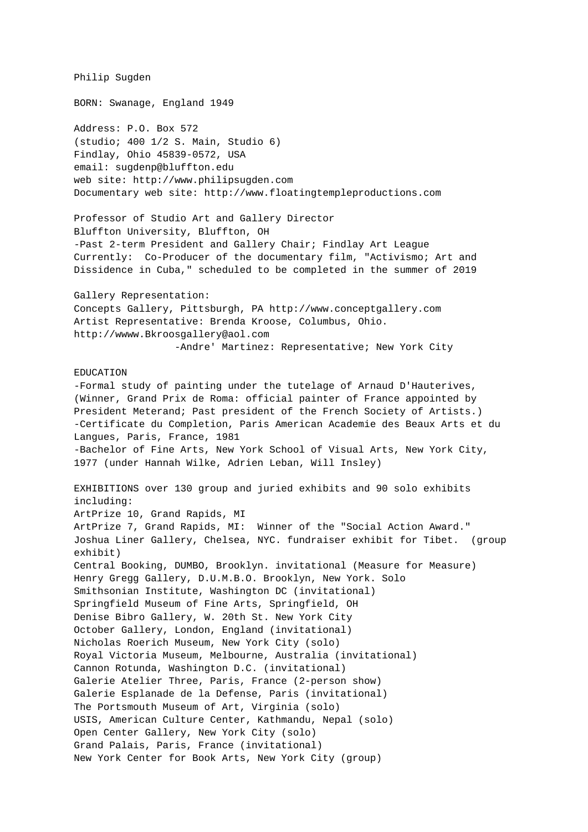Philip Sugden

BORN: Swanage, England 1949

Address: P.O. Box 572 (studio; 400 1/2 S. Main, Studio 6) Findlay, Ohio 45839-0572, USA email: sugdenp@bluffton.edu web site: http://www.philipsugden.com Documentary web site: http://www.floatingtempleproductions.com

Professor of Studio Art and Gallery Director Bluffton University, Bluffton, OH -Past 2-term President and Gallery Chair; Findlay Art League Currently: Co-Producer of the documentary film, "Activismo; Art and Dissidence in Cuba," scheduled to be completed in the summer of 2019

Gallery Representation: Concepts Gallery, Pittsburgh, PA http://www.conceptgallery.com Artist Representative: Brenda Kroose, Columbus, Ohio. http://wwww.Bkroosgallery@aol.com -Andre' Martinez: Representative; New York City

EDUCATION

-Formal study of painting under the tutelage of Arnaud D'Hauterives, (Winner, Grand Prix de Roma: official painter of France appointed by President Meterand; Past president of the French Society of Artists.) -Certificate du Completion, Paris American Academie des Beaux Arts et du Langues, Paris, France, 1981 -Bachelor of Fine Arts, New York School of Visual Arts, New York City, 1977 (under Hannah Wilke, Adrien Leban, Will Insley)

EXHIBITIONS over 130 group and juried exhibits and 90 solo exhibits including: ArtPrize 10, Grand Rapids, MI ArtPrize 7, Grand Rapids, MI: Winner of the "Social Action Award." Joshua Liner Gallery, Chelsea, NYC. fundraiser exhibit for Tibet. (group exhibit) Central Booking, DUMBO, Brooklyn. invitational (Measure for Measure) Henry Gregg Gallery, D.U.M.B.O. Brooklyn, New York. Solo Smithsonian Institute, Washington DC (invitational) Springfield Museum of Fine Arts, Springfield, OH Denise Bibro Gallery, W. 20th St. New York City October Gallery, London, England (invitational) Nicholas Roerich Museum, New York City (solo) Royal Victoria Museum, Melbourne, Australia (invitational) Cannon Rotunda, Washington D.C. (invitational) Galerie Atelier Three, Paris, France (2-person show) Galerie Esplanade de la Defense, Paris (invitational) The Portsmouth Museum of Art, Virginia (solo) USIS, American Culture Center, Kathmandu, Nepal (solo) Open Center Gallery, New York City (solo) Grand Palais, Paris, France (invitational) New York Center for Book Arts, New York City (group)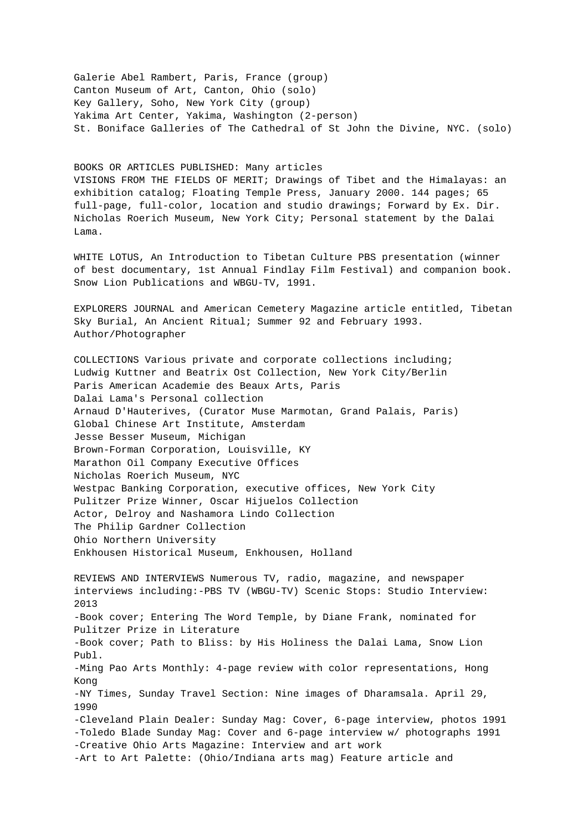Galerie Abel Rambert, Paris, France (group) Canton Museum of Art, Canton, Ohio (solo) Key Gallery, Soho, New York City (group) Yakima Art Center, Yakima, Washington (2-person) St. Boniface Galleries of The Cathedral of St John the Divine, NYC. (solo)

BOOKS OR ARTICLES PUBLISHED: Many articles VISIONS FROM THE FIELDS OF MERIT; Drawings of Tibet and the Himalayas: an exhibition catalog; Floating Temple Press, January 2000. 144 pages; 65 full-page, full-color, location and studio drawings; Forward by Ex. Dir. Nicholas Roerich Museum, New York City; Personal statement by the Dalai Lama.

WHITE LOTUS, An Introduction to Tibetan Culture PBS presentation (winner of best documentary, 1st Annual Findlay Film Festival) and companion book. Snow Lion Publications and WBGU-TV, 1991.

EXPLORERS JOURNAL and American Cemetery Magazine article entitled, Tibetan Sky Burial, An Ancient Ritual; Summer 92 and February 1993. Author/Photographer

COLLECTIONS Various private and corporate collections including; Ludwig Kuttner and Beatrix Ost Collection, New York City/Berlin Paris American Academie des Beaux Arts, Paris Dalai Lama's Personal collection Arnaud D'Hauterives, (Curator Muse Marmotan, Grand Palais, Paris) Global Chinese Art Institute, Amsterdam Jesse Besser Museum, Michigan Brown-Forman Corporation, Louisville, KY Marathon Oil Company Executive Offices Nicholas Roerich Museum, NYC Westpac Banking Corporation, executive offices, New York City Pulitzer Prize Winner, Oscar Hijuelos Collection Actor, Delroy and Nashamora Lindo Collection The Philip Gardner Collection Ohio Northern University Enkhousen Historical Museum, Enkhousen, Holland

REVIEWS AND INTERVIEWS Numerous TV, radio, magazine, and newspaper interviews including:-PBS TV (WBGU-TV) Scenic Stops: Studio Interview: 2013 -Book cover; Entering The Word Temple, by Diane Frank, nominated for Pulitzer Prize in Literature -Book cover; Path to Bliss: by His Holiness the Dalai Lama, Snow Lion Publ. -Ming Pao Arts Monthly: 4-page review with color representations, Hong Kong -NY Times, Sunday Travel Section: Nine images of Dharamsala. April 29, 1990 -Cleveland Plain Dealer: Sunday Mag: Cover, 6-page interview, photos 1991 -Toledo Blade Sunday Mag: Cover and 6-page interview w/ photographs 1991 -Creative Ohio Arts Magazine: Interview and art work -Art to Art Palette: (Ohio/Indiana arts mag) Feature article and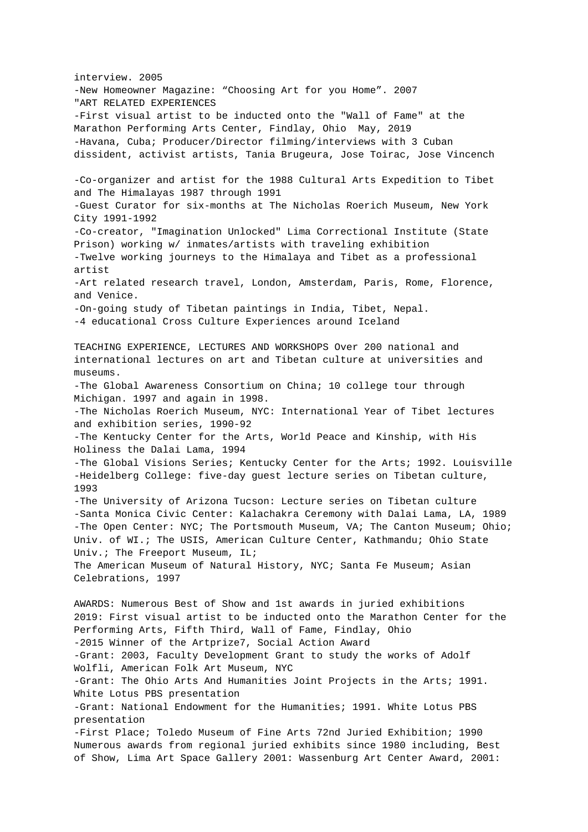interview. 2005 -New Homeowner Magazine: "Choosing Art for you Home". 2007 "ART RELATED EXPERIENCES -First visual artist to be inducted onto the "Wall of Fame" at the Marathon Performing Arts Center, Findlay, Ohio May, 2019 -Havana, Cuba; Producer/Director filming/interviews with 3 Cuban dissident, activist artists, Tania Brugeura, Jose Toirac, Jose Vincench -Co-organizer and artist for the 1988 Cultural Arts Expedition to Tibet and The Himalayas 1987 through 1991 -Guest Curator for six-months at The Nicholas Roerich Museum, New York City 1991-1992 -Co-creator, "Imagination Unlocked" Lima Correctional Institute (State Prison) working w/ inmates/artists with traveling exhibition -Twelve working journeys to the Himalaya and Tibet as a professional artist -Art related research travel, London, Amsterdam, Paris, Rome, Florence, and Venice. -On-going study of Tibetan paintings in India, Tibet, Nepal. -4 educational Cross Culture Experiences around Iceland TEACHING EXPERIENCE, LECTURES AND WORKSHOPS Over 200 national and international lectures on art and Tibetan culture at universities and museums. -The Global Awareness Consortium on China; 10 college tour through Michigan. 1997 and again in 1998. -The Nicholas Roerich Museum, NYC: International Year of Tibet lectures and exhibition series, 1990-92 -The Kentucky Center for the Arts, World Peace and Kinship, with His Holiness the Dalai Lama, 1994 -The Global Visions Series; Kentucky Center for the Arts; 1992. Louisville -Heidelberg College: five-day guest lecture series on Tibetan culture, 1993 -The University of Arizona Tucson: Lecture series on Tibetan culture -Santa Monica Civic Center: Kalachakra Ceremony with Dalai Lama, LA, 1989 -The Open Center: NYC; The Portsmouth Museum, VA; The Canton Museum; Ohio; Univ. of WI.; The USIS, American Culture Center, Kathmandu; Ohio State Univ.; The Freeport Museum, IL; The American Museum of Natural History, NYC; Santa Fe Museum; Asian Celebrations, 1997 AWARDS: Numerous Best of Show and 1st awards in juried exhibitions 2019: First visual artist to be inducted onto the Marathon Center for the Performing Arts, Fifth Third, Wall of Fame, Findlay, Ohio -2015 Winner of the Artprize7, Social Action Award -Grant: 2003, Faculty Development Grant to study the works of Adolf Wolfli, American Folk Art Museum, NYC -Grant: The Ohio Arts And Humanities Joint Projects in the Arts; 1991. White Lotus PBS presentation -Grant: National Endowment for the Humanities; 1991. White Lotus PBS presentation -First Place; Toledo Museum of Fine Arts 72nd Juried Exhibition; 1990 Numerous awards from regional juried exhibits since 1980 including, Best of Show, Lima Art Space Gallery 2001: Wassenburg Art Center Award, 2001: